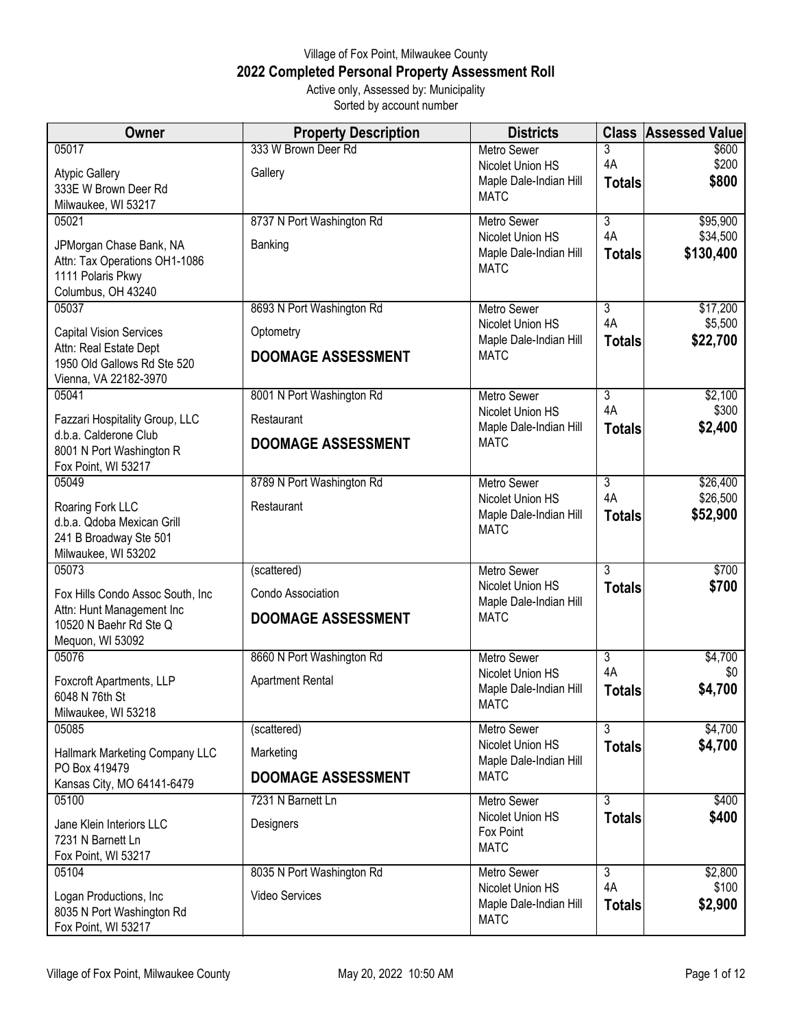## Village of Fox Point, Milwaukee County **2022 Completed Personal Property Assessment Roll** Active only, Assessed by: Municipality

Sorted by account number

| <b>Owner</b>                                                                                        | <b>Property Description</b> | <b>Districts</b>                                          | <b>Class</b>        | <b>Assessed Value</b> |
|-----------------------------------------------------------------------------------------------------|-----------------------------|-----------------------------------------------------------|---------------------|-----------------------|
| 05017                                                                                               | 333 W Brown Deer Rd         | Metro Sewer<br>Nicolet Union HS                           | 3<br>4A             | \$600<br>\$200        |
| <b>Atypic Gallery</b><br>333E W Brown Deer Rd<br>Milwaukee, WI 53217                                | Gallery                     | Maple Dale-Indian Hill<br><b>MATC</b>                     | <b>Totals</b>       | \$800                 |
| 05021                                                                                               | 8737 N Port Washington Rd   | Metro Sewer                                               | $\overline{3}$      | \$95,900              |
| JPMorgan Chase Bank, NA<br>Attn: Tax Operations OH1-1086<br>1111 Polaris Pkwy<br>Columbus, OH 43240 | Banking                     | Nicolet Union HS<br>Maple Dale-Indian Hill<br><b>MATC</b> | 4A<br><b>Totals</b> | \$34,500<br>\$130,400 |
| 05037                                                                                               | 8693 N Port Washington Rd   | Metro Sewer                                               | $\overline{3}$      | \$17,200              |
| <b>Capital Vision Services</b>                                                                      | Optometry                   | Nicolet Union HS<br>Maple Dale-Indian Hill                | 4A<br><b>Totals</b> | \$5,500<br>\$22,700   |
| Attn: Real Estate Dept<br>1950 Old Gallows Rd Ste 520<br>Vienna, VA 22182-3970                      | <b>DOOMAGE ASSESSMENT</b>   | <b>MATC</b>                                               |                     |                       |
| 05041                                                                                               | 8001 N Port Washington Rd   | <b>Metro Sewer</b>                                        | $\overline{3}$      | \$2,100               |
| Fazzari Hospitality Group, LLC                                                                      | Restaurant                  | Nicolet Union HS<br>Maple Dale-Indian Hill                | 4A<br><b>Totals</b> | \$300<br>\$2,400      |
| d.b.a. Calderone Club<br>8001 N Port Washington R<br>Fox Point, WI 53217                            | <b>DOOMAGE ASSESSMENT</b>   | <b>MATC</b>                                               |                     |                       |
| 05049                                                                                               | 8789 N Port Washington Rd   | <b>Metro Sewer</b>                                        | $\overline{3}$      | \$26,400              |
| Roaring Fork LLC<br>d.b.a. Qdoba Mexican Grill<br>241 B Broadway Ste 501<br>Milwaukee, WI 53202     | Restaurant                  | Nicolet Union HS<br>Maple Dale-Indian Hill<br><b>MATC</b> | 4A<br><b>Totals</b> | \$26,500<br>\$52,900  |
| 05073                                                                                               | (scattered)                 | Metro Sewer                                               | 3                   | \$700                 |
| Fox Hills Condo Assoc South, Inc                                                                    | Condo Association           | Nicolet Union HS<br>Maple Dale-Indian Hill                | <b>Totals</b>       | \$700                 |
| Attn: Hunt Management Inc<br>10520 N Baehr Rd Ste Q<br>Mequon, WI 53092                             | <b>DOOMAGE ASSESSMENT</b>   | <b>MATC</b>                                               |                     |                       |
| 05076                                                                                               | 8660 N Port Washington Rd   | Metro Sewer                                               | 3                   | \$4,700               |
| Foxcroft Apartments, LLP<br>6048 N 76th St<br>Milwaukee, WI 53218                                   | <b>Apartment Rental</b>     | Nicolet Union HS<br>Maple Dale-Indian Hill<br><b>MATC</b> | 4A<br><b>Totals</b> | \$0<br>\$4,700        |
| 05085                                                                                               | (scattered)                 | Metro Sewer                                               | $\overline{3}$      | \$4,700               |
| Hallmark Marketing Company LLC<br>PO Box 419479                                                     | Marketing                   | Nicolet Union HS<br>Maple Dale-Indian Hill                | <b>Totals</b>       | \$4,700               |
| Kansas City, MO 64141-6479                                                                          | <b>DOOMAGE ASSESSMENT</b>   | <b>MATC</b>                                               |                     |                       |
| 05100                                                                                               | 7231 N Barnett Ln           | <b>Metro Sewer</b><br>Nicolet Union HS                    | $\overline{3}$      | \$400                 |
| Jane Klein Interiors LLC<br>7231 N Barnett Ln<br>Fox Point, WI 53217                                | Designers                   | Fox Point<br><b>MATC</b>                                  | <b>Totals</b>       | \$400                 |
| 05104                                                                                               | 8035 N Port Washington Rd   | <b>Metro Sewer</b>                                        | $\overline{3}$      | \$2,800               |
| Logan Productions, Inc<br>8035 N Port Washington Rd<br>Fox Point, WI 53217                          | <b>Video Services</b>       | Nicolet Union HS<br>Maple Dale-Indian Hill<br><b>MATC</b> | 4A<br><b>Totals</b> | \$100<br>\$2,900      |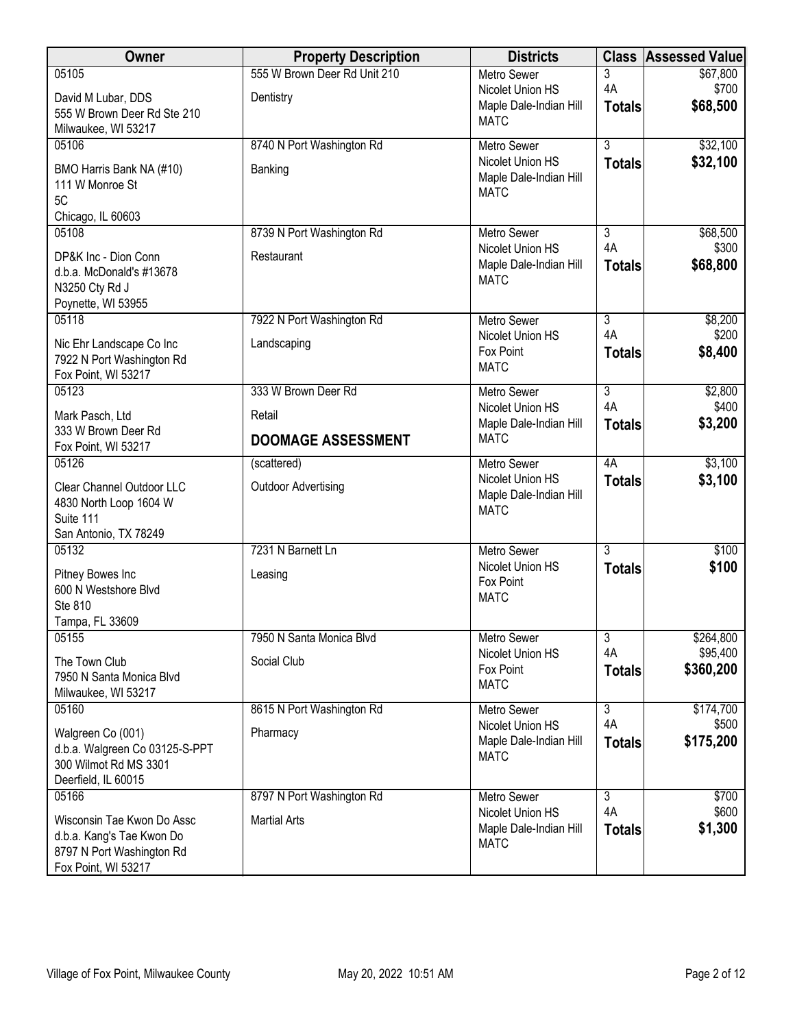| Owner                                                                                                       | <b>Property Description</b>             | <b>Districts</b>                                                                | <b>Class</b>                          | <b>Assessed Value</b>         |
|-------------------------------------------------------------------------------------------------------------|-----------------------------------------|---------------------------------------------------------------------------------|---------------------------------------|-------------------------------|
| 05105                                                                                                       | 555 W Brown Deer Rd Unit 210            | Metro Sewer                                                                     | 3                                     | \$67,800                      |
| David M Lubar, DDS<br>555 W Brown Deer Rd Ste 210<br>Milwaukee, WI 53217                                    | Dentistry                               | Nicolet Union HS<br>Maple Dale-Indian Hill<br><b>MATC</b>                       | 4A<br><b>Totals</b>                   | \$700<br>\$68,500             |
| 05106                                                                                                       | 8740 N Port Washington Rd               | <b>Metro Sewer</b>                                                              | $\overline{3}$                        | \$32,100                      |
| BMO Harris Bank NA (#10)<br>111 W Monroe St<br>5C                                                           | Banking                                 | Nicolet Union HS<br>Maple Dale-Indian Hill<br><b>MATC</b>                       | <b>Totals</b>                         | \$32,100                      |
| Chicago, IL 60603                                                                                           |                                         |                                                                                 |                                       |                               |
| 05108<br>DP&K Inc - Dion Conn<br>d.b.a. McDonald's #13678<br>N3250 Cty Rd J<br>Poynette, WI 53955           | 8739 N Port Washington Rd<br>Restaurant | <b>Metro Sewer</b><br>Nicolet Union HS<br>Maple Dale-Indian Hill<br><b>MATC</b> | $\overline{3}$<br>4A<br><b>Totals</b> | \$68,500<br>\$300<br>\$68,800 |
| 05118                                                                                                       | 7922 N Port Washington Rd               | Metro Sewer                                                                     | $\overline{3}$                        | \$8,200                       |
| Nic Ehr Landscape Co Inc<br>7922 N Port Washington Rd<br>Fox Point, WI 53217                                | Landscaping                             | Nicolet Union HS<br>Fox Point<br><b>MATC</b>                                    | 4A<br><b>Totals</b>                   | \$200<br>\$8,400              |
| 05123                                                                                                       | 333 W Brown Deer Rd                     | <b>Metro Sewer</b>                                                              | $\overline{3}$                        | \$2,800                       |
| Mark Pasch, Ltd                                                                                             | Retail                                  | Nicolet Union HS<br>Maple Dale-Indian Hill                                      | 4A                                    | \$400                         |
| 333 W Brown Deer Rd<br>Fox Point, WI 53217                                                                  | <b>DOOMAGE ASSESSMENT</b>               | <b>MATC</b>                                                                     | <b>Totals</b>                         | \$3,200                       |
| 05126                                                                                                       | (scattered)                             | <b>Metro Sewer</b><br>Nicolet Union HS                                          | 4A                                    | \$3,100                       |
| Clear Channel Outdoor LLC<br>4830 North Loop 1604 W<br>Suite 111<br>San Antonio, TX 78249                   | <b>Outdoor Advertising</b>              | Maple Dale-Indian Hill<br><b>MATC</b>                                           | <b>Totals</b>                         | \$3,100                       |
| 05132                                                                                                       | 7231 N Barnett Ln                       | <b>Metro Sewer</b>                                                              | $\overline{3}$                        | \$100                         |
| Pitney Bowes Inc<br>600 N Westshore Blvd<br>Ste 810<br>Tampa, FL 33609                                      | Leasing                                 | Nicolet Union HS<br>Fox Point<br><b>MATC</b>                                    | <b>Totals</b>                         | \$100                         |
| 05155                                                                                                       | 7950 N Santa Monica Blvd                | <b>Metro Sewer</b>                                                              | 3                                     | \$264,800                     |
| The Town Club<br>7950 N Santa Monica Blvd<br>Milwaukee, WI 53217                                            | Social Club                             | Nicolet Union HS<br>Fox Point<br><b>MATC</b>                                    | 4A<br><b>Totals</b>                   | \$95,400<br>\$360,200         |
| 05160                                                                                                       | 8615 N Port Washington Rd               | Metro Sewer                                                                     | 3                                     | \$174,700                     |
| Walgreen Co (001)<br>d.b.a. Walgreen Co 03125-S-PPT<br>300 Wilmot Rd MS 3301<br>Deerfield, IL 60015         | Pharmacy                                | Nicolet Union HS<br>Maple Dale-Indian Hill<br><b>MATC</b>                       | 4A<br><b>Totals</b>                   | \$500<br>\$175,200            |
| 05166                                                                                                       | 8797 N Port Washington Rd               | <b>Metro Sewer</b>                                                              | $\overline{3}$                        | \$700                         |
| Wisconsin Tae Kwon Do Assc<br>d.b.a. Kang's Tae Kwon Do<br>8797 N Port Washington Rd<br>Fox Point, WI 53217 | <b>Martial Arts</b>                     | Nicolet Union HS<br>Maple Dale-Indian Hill<br><b>MATC</b>                       | 4A<br><b>Totals</b>                   | \$600<br>\$1,300              |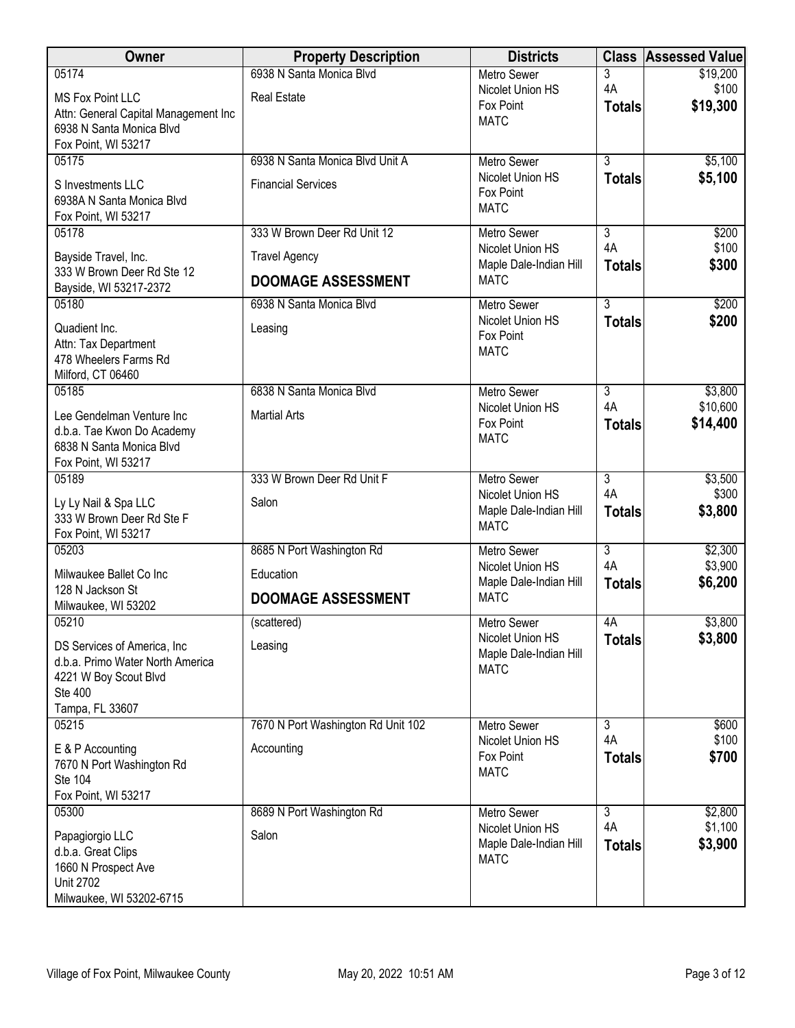| Owner                                                                                                                          | <b>Property Description</b>                                  | <b>Districts</b>                                                   | <b>Class</b>                    | <b>Assessed Value</b>         |
|--------------------------------------------------------------------------------------------------------------------------------|--------------------------------------------------------------|--------------------------------------------------------------------|---------------------------------|-------------------------------|
| 05174<br><b>MS Fox Point LLC</b><br>Attn: General Capital Management Inc<br>6938 N Santa Monica Blvd                           | 6938 N Santa Monica Blvd<br><b>Real Estate</b>               | <b>Metro Sewer</b><br>Nicolet Union HS<br>Fox Point<br><b>MATC</b> | 3<br>4A<br><b>Totals</b>        | \$19,200<br>\$100<br>\$19,300 |
| Fox Point, WI 53217                                                                                                            |                                                              |                                                                    |                                 |                               |
| 05175<br>S Investments LLC<br>6938A N Santa Monica Blvd<br>Fox Point, WI 53217                                                 | 6938 N Santa Monica Blvd Unit A<br><b>Financial Services</b> | <b>Metro Sewer</b><br>Nicolet Union HS<br>Fox Point<br><b>MATC</b> | $\overline{3}$<br><b>Totals</b> | \$5,100<br>\$5,100            |
| 05178                                                                                                                          | 333 W Brown Deer Rd Unit 12                                  | <b>Metro Sewer</b>                                                 | $\overline{3}$                  | \$200                         |
| Bayside Travel, Inc.<br>333 W Brown Deer Rd Ste 12<br>Bayside, WI 53217-2372                                                   | <b>Travel Agency</b><br><b>DOOMAGE ASSESSMENT</b>            | Nicolet Union HS<br>Maple Dale-Indian Hill<br><b>MATC</b>          | 4A<br><b>Totals</b>             | \$100<br>\$300                |
| 05180                                                                                                                          | 6938 N Santa Monica Blvd                                     | Metro Sewer                                                        | $\overline{3}$                  | \$200                         |
| Quadient Inc.<br>Attn: Tax Department<br>478 Wheelers Farms Rd<br>Milford, CT 06460                                            | Leasing                                                      | Nicolet Union HS<br>Fox Point<br><b>MATC</b>                       | <b>Totals</b>                   | \$200                         |
| 05185                                                                                                                          | 6838 N Santa Monica Blyd                                     | <b>Metro Sewer</b>                                                 | 3                               | \$3,800                       |
| Lee Gendelman Venture Inc<br>d.b.a. Tae Kwon Do Academy<br>6838 N Santa Monica Blvd<br>Fox Point, WI 53217                     | <b>Martial Arts</b>                                          | Nicolet Union HS<br>Fox Point<br><b>MATC</b>                       | 4A<br><b>Totals</b>             | \$10,600<br>\$14,400          |
| 05189                                                                                                                          | 333 W Brown Deer Rd Unit F                                   | <b>Metro Sewer</b>                                                 | $\overline{3}$                  | \$3,500                       |
| Ly Ly Nail & Spa LLC<br>333 W Brown Deer Rd Ste F<br>Fox Point, WI 53217                                                       | Salon                                                        | Nicolet Union HS<br>Maple Dale-Indian Hill<br><b>MATC</b>          | 4A<br><b>Totals</b>             | \$300<br>\$3,800              |
| 05203                                                                                                                          | 8685 N Port Washington Rd                                    | <b>Metro Sewer</b>                                                 | $\overline{\overline{3}}$       | \$2,300                       |
| Milwaukee Ballet Co Inc                                                                                                        | Education                                                    | Nicolet Union HS<br>Maple Dale-Indian Hill                         | 4A<br><b>Totals</b>             | \$3,900<br>\$6,200            |
| 128 N Jackson St<br>Milwaukee, WI 53202                                                                                        | <b>DOOMAGE ASSESSMENT</b>                                    | <b>MATC</b>                                                        |                                 |                               |
| 05210                                                                                                                          | (scattered)                                                  | Metro Sewer                                                        | 4A                              | \$3,800                       |
| DS Services of America, Inc.<br>d.b.a. Primo Water North America<br>4221 W Boy Scout Blvd<br><b>Ste 400</b><br>Tampa, FL 33607 | Leasing                                                      | Nicolet Union HS<br>Maple Dale-Indian Hill<br><b>MATC</b>          | <b>Totals</b>                   | \$3,800                       |
| 05215                                                                                                                          | 7670 N Port Washington Rd Unit 102                           | Metro Sewer                                                        | 3                               | \$600                         |
| E & P Accounting<br>7670 N Port Washington Rd<br>Ste 104<br>Fox Point, WI 53217                                                | Accounting                                                   | Nicolet Union HS<br>Fox Point<br><b>MATC</b>                       | 4A<br><b>Totals</b>             | \$100<br>\$700                |
| 05300                                                                                                                          | 8689 N Port Washington Rd                                    | <b>Metro Sewer</b>                                                 | $\overline{3}$                  | \$2,800                       |
| Papagiorgio LLC<br>d.b.a. Great Clips<br>1660 N Prospect Ave<br><b>Unit 2702</b><br>Milwaukee, WI 53202-6715                   | Salon                                                        | Nicolet Union HS<br>Maple Dale-Indian Hill<br><b>MATC</b>          | 4A<br><b>Totals</b>             | \$1,100<br>\$3,900            |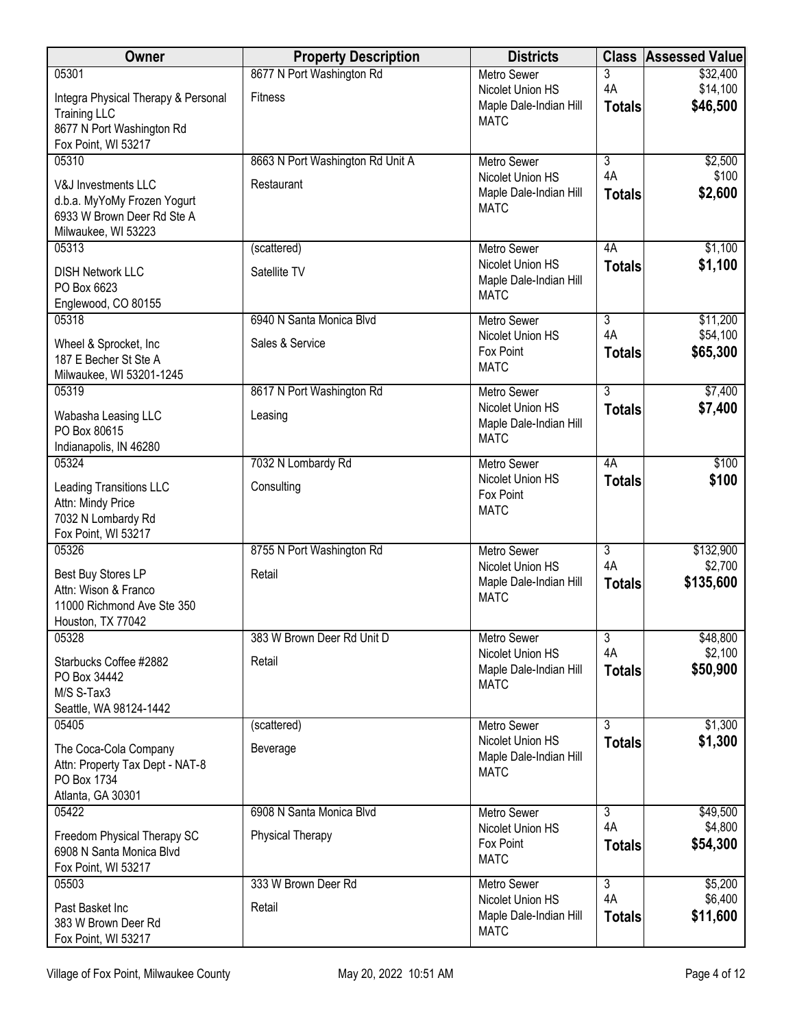| Owner                                                   | <b>Property Description</b>      | <b>Districts</b>                           |                      | <b>Class Assessed Value</b> |
|---------------------------------------------------------|----------------------------------|--------------------------------------------|----------------------|-----------------------------|
| 05301                                                   | 8677 N Port Washington Rd        | <b>Metro Sewer</b>                         | 3                    | \$32,400                    |
| Integra Physical Therapy & Personal                     | <b>Fitness</b>                   | Nicolet Union HS<br>Maple Dale-Indian Hill | 4A<br><b>Totals</b>  | \$14,100<br>\$46,500        |
| <b>Training LLC</b>                                     |                                  | <b>MATC</b>                                |                      |                             |
| 8677 N Port Washington Rd<br>Fox Point, WI 53217        |                                  |                                            |                      |                             |
| 05310                                                   | 8663 N Port Washington Rd Unit A | <b>Metro Sewer</b>                         | $\overline{3}$       | \$2,500                     |
| V&J Investments LLC                                     | Restaurant                       | Nicolet Union HS                           | 4A                   | \$100                       |
| d.b.a. MyYoMy Frozen Yogurt                             |                                  | Maple Dale-Indian Hill                     | <b>Totals</b>        | \$2,600                     |
| 6933 W Brown Deer Rd Ste A                              |                                  | <b>MATC</b>                                |                      |                             |
| Milwaukee, WI 53223                                     |                                  |                                            |                      |                             |
| 05313                                                   | (scattered)                      | Metro Sewer<br>Nicolet Union HS            | 4A<br><b>Totals</b>  | \$1,100<br>\$1,100          |
| <b>DISH Network LLC</b>                                 | Satellite TV                     | Maple Dale-Indian Hill                     |                      |                             |
| PO Box 6623<br>Englewood, CO 80155                      |                                  | <b>MATC</b>                                |                      |                             |
| 05318                                                   | 6940 N Santa Monica Blvd         | Metro Sewer                                | $\overline{3}$       | \$11,200                    |
| Wheel & Sprocket, Inc                                   | Sales & Service                  | Nicolet Union HS                           | 4A                   | \$54,100                    |
| 187 E Becher St Ste A                                   |                                  | Fox Point                                  | <b>Totals</b>        | \$65,300                    |
| Milwaukee, WI 53201-1245                                |                                  | <b>MATC</b>                                |                      |                             |
| 05319                                                   | 8617 N Port Washington Rd        | <b>Metro Sewer</b>                         | $\overline{3}$       | \$7,400                     |
| Wabasha Leasing LLC                                     | Leasing                          | Nicolet Union HS<br>Maple Dale-Indian Hill | <b>Totals</b>        | \$7,400                     |
| PO Box 80615                                            |                                  | <b>MATC</b>                                |                      |                             |
| Indianapolis, IN 46280<br>05324                         | 7032 N Lombardy Rd               | Metro Sewer                                | 4A                   | \$100                       |
| Leading Transitions LLC                                 | Consulting                       | Nicolet Union HS                           | <b>Totals</b>        | \$100                       |
| Attn: Mindy Price                                       |                                  | Fox Point                                  |                      |                             |
| 7032 N Lombardy Rd                                      |                                  | <b>MATC</b>                                |                      |                             |
| Fox Point, WI 53217                                     |                                  |                                            |                      |                             |
| 05326                                                   | 8755 N Port Washington Rd        | <b>Metro Sewer</b><br>Nicolet Union HS     | $\overline{3}$<br>4A | \$132,900<br>\$2,700        |
| Best Buy Stores LP<br>Attn: Wison & Franco              | Retail                           | Maple Dale-Indian Hill                     | <b>Totals</b>        | \$135,600                   |
| 11000 Richmond Ave Ste 350                              |                                  | <b>MATC</b>                                |                      |                             |
| Houston, TX 77042                                       |                                  |                                            |                      |                             |
| 05328                                                   | 383 W Brown Deer Rd Unit D       | Metro Sewer                                | $\overline{3}$       | \$48,800                    |
| Starbucks Coffee #2882                                  | Retail                           | Nicolet Union HS<br>Maple Dale-Indian Hill | 4A<br><b>Totals</b>  | \$2,100<br>\$50,900         |
| PO Box 34442                                            |                                  | <b>MATC</b>                                |                      |                             |
| M/S S-Tax3<br>Seattle, WA 98124-1442                    |                                  |                                            |                      |                             |
| 05405                                                   | (scattered)                      | Metro Sewer                                | $\overline{3}$       | \$1,300                     |
| The Coca-Cola Company                                   | Beverage                         | Nicolet Union HS                           | <b>Totals</b>        | \$1,300                     |
| Attn: Property Tax Dept - NAT-8                         |                                  | Maple Dale-Indian Hill<br><b>MATC</b>      |                      |                             |
| PO Box 1734                                             |                                  |                                            |                      |                             |
| Atlanta, GA 30301<br>05422                              | 6908 N Santa Monica Blvd         | Metro Sewer                                | 3                    | \$49,500                    |
|                                                         |                                  | Nicolet Union HS                           | 4A                   | \$4,800                     |
| Freedom Physical Therapy SC<br>6908 N Santa Monica Blvd | Physical Therapy                 | Fox Point                                  | <b>Totals</b>        | \$54,300                    |
| Fox Point, WI 53217                                     |                                  | <b>MATC</b>                                |                      |                             |
| 05503                                                   | 333 W Brown Deer Rd              | Metro Sewer                                | $\overline{3}$       | \$5,200                     |
| Past Basket Inc                                         | Retail                           | Nicolet Union HS                           | 4A                   | \$6,400                     |
| 383 W Brown Deer Rd                                     |                                  | Maple Dale-Indian Hill<br><b>MATC</b>      | <b>Totals</b>        | \$11,600                    |
| Fox Point, WI 53217                                     |                                  |                                            |                      |                             |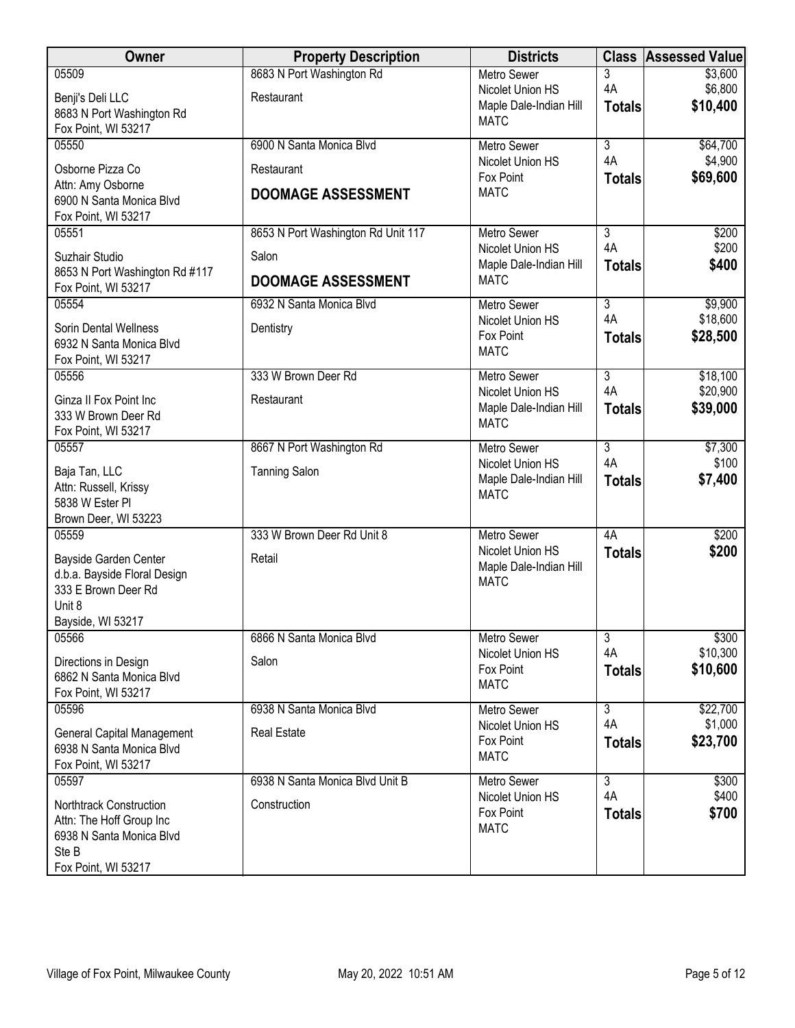| Owner                                                                                                           | <b>Property Description</b>             | <b>Districts</b>                                                 |                                                  | <b>Class Assessed Value</b>     |
|-----------------------------------------------------------------------------------------------------------------|-----------------------------------------|------------------------------------------------------------------|--------------------------------------------------|---------------------------------|
| 05509<br>Benji's Deli LLC                                                                                       | 8683 N Port Washington Rd<br>Restaurant | <b>Metro Sewer</b><br>Nicolet Union HS<br>Maple Dale-Indian Hill | 3<br>4A<br><b>Totals</b>                         | \$3,600<br>\$6,800<br>\$10,400  |
| 8683 N Port Washington Rd<br>Fox Point, WI 53217                                                                |                                         | <b>MATC</b>                                                      |                                                  |                                 |
| 05550<br>Osborne Pizza Co                                                                                       | 6900 N Santa Monica Blvd<br>Restaurant  | <b>Metro Sewer</b><br>Nicolet Union HS<br>Fox Point              | $\overline{\overline{3}}$<br>4A<br><b>Totals</b> | \$64,700<br>\$4,900<br>\$69,600 |
| Attn: Amy Osborne<br>6900 N Santa Monica Blvd<br>Fox Point, WI 53217                                            | <b>DOOMAGE ASSESSMENT</b>               | <b>MATC</b>                                                      |                                                  |                                 |
| 05551                                                                                                           | 8653 N Port Washington Rd Unit 117      | <b>Metro Sewer</b><br>Nicolet Union HS                           | 3<br>4A                                          | \$200<br>\$200                  |
| Suzhair Studio<br>8653 N Port Washington Rd #117                                                                | Salon                                   | Maple Dale-Indian Hill<br><b>MATC</b>                            | <b>Totals</b>                                    | \$400                           |
| Fox Point, WI 53217                                                                                             | <b>DOOMAGE ASSESSMENT</b>               |                                                                  |                                                  |                                 |
| 05554<br>Sorin Dental Wellness<br>6932 N Santa Monica Blvd<br>Fox Point, WI 53217                               | 6932 N Santa Monica Blvd<br>Dentistry   | Metro Sewer<br>Nicolet Union HS<br>Fox Point<br><b>MATC</b>      | $\overline{3}$<br>4A<br><b>Totals</b>            | \$9,900<br>\$18,600<br>\$28,500 |
| 05556                                                                                                           | 333 W Brown Deer Rd                     | <b>Metro Sewer</b>                                               | $\overline{3}$                                   | \$18,100                        |
| Ginza II Fox Point Inc<br>333 W Brown Deer Rd<br>Fox Point, WI 53217                                            | Restaurant                              | Nicolet Union HS<br>Maple Dale-Indian Hill<br><b>MATC</b>        | 4A<br><b>Totals</b>                              | \$20,900<br>\$39,000            |
| 05557                                                                                                           | 8667 N Port Washington Rd               | <b>Metro Sewer</b>                                               | $\overline{3}$                                   | \$7,300                         |
| Baja Tan, LLC<br>Attn: Russell, Krissy<br>5838 W Ester PI<br>Brown Deer, WI 53223                               | <b>Tanning Salon</b>                    | Nicolet Union HS<br>Maple Dale-Indian Hill<br><b>MATC</b>        | 4A<br><b>Totals</b>                              | \$100<br>\$7,400                |
| 05559                                                                                                           | 333 W Brown Deer Rd Unit 8              | <b>Metro Sewer</b>                                               | 4A                                               | \$200                           |
| Bayside Garden Center<br>d.b.a. Bayside Floral Design<br>333 E Brown Deer Rd<br>Unit 8<br>Bayside, WI 53217     | Retail                                  | Nicolet Union HS<br>Maple Dale-Indian Hill<br><b>MATC</b>        | <b>Totals</b>                                    | \$200                           |
| 05566                                                                                                           | 6866 N Santa Monica Blvd                | <b>Metro Sewer</b>                                               | 3                                                | \$300                           |
| Directions in Design<br>6862 N Santa Monica Blvd<br>Fox Point, WI 53217                                         | Salon                                   | Nicolet Union HS<br>Fox Point<br><b>MATC</b>                     | 4A<br><b>Totals</b>                              | \$10,300<br>\$10,600            |
| 05596                                                                                                           | 6938 N Santa Monica Blvd                | Metro Sewer                                                      | 3                                                | \$22,700                        |
| General Capital Management<br>6938 N Santa Monica Blvd<br>Fox Point, WI 53217                                   | <b>Real Estate</b>                      | Nicolet Union HS<br>Fox Point<br><b>MATC</b>                     | 4A<br><b>Totals</b>                              | \$1,000<br>\$23,700             |
| 05597                                                                                                           | 6938 N Santa Monica Blvd Unit B         | Metro Sewer                                                      | 3<br>4A                                          | \$300                           |
| Northtrack Construction<br>Attn: The Hoff Group Inc<br>6938 N Santa Monica Blvd<br>Ste B<br>Fox Point, WI 53217 | Construction                            | Nicolet Union HS<br>Fox Point<br><b>MATC</b>                     | <b>Totals</b>                                    | \$400<br>\$700                  |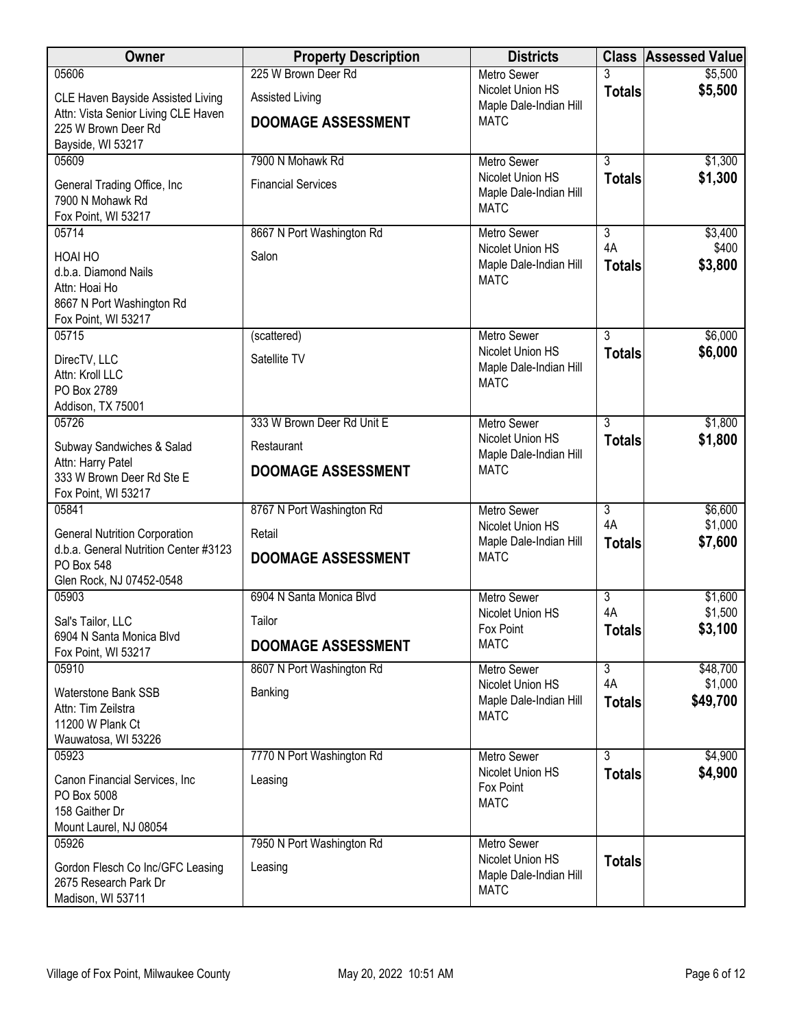| <b>Owner</b>                                     | <b>Property Description</b> | <b>Districts</b>                           | <b>Class</b>         | <b>Assessed Value</b> |
|--------------------------------------------------|-----------------------------|--------------------------------------------|----------------------|-----------------------|
| 05606                                            | 225 W Brown Deer Rd         | <b>Metro Sewer</b>                         |                      | \$5,500               |
| CLE Haven Bayside Assisted Living                | <b>Assisted Living</b>      | Nicolet Union HS<br>Maple Dale-Indian Hill | <b>Totals</b>        | \$5,500               |
| Attn: Vista Senior Living CLE Haven              | <b>DOOMAGE ASSESSMENT</b>   | <b>MATC</b>                                |                      |                       |
| 225 W Brown Deer Rd<br>Bayside, WI 53217         |                             |                                            |                      |                       |
| 05609                                            | 7900 N Mohawk Rd            | <b>Metro Sewer</b>                         | $\overline{3}$       | \$1,300               |
| General Trading Office, Inc                      | <b>Financial Services</b>   | Nicolet Union HS                           | <b>Totals</b>        | \$1,300               |
| 7900 N Mohawk Rd                                 |                             | Maple Dale-Indian Hill<br><b>MATC</b>      |                      |                       |
| Fox Point, WI 53217                              |                             |                                            |                      |                       |
| 05714                                            | 8667 N Port Washington Rd   | <b>Metro Sewer</b><br>Nicolet Union HS     | $\overline{3}$<br>4A | \$3,400<br>\$400      |
| HOAI HO                                          | Salon                       | Maple Dale-Indian Hill                     | <b>Totals</b>        | \$3,800               |
| d.b.a. Diamond Nails<br>Attn: Hoai Ho            |                             | <b>MATC</b>                                |                      |                       |
| 8667 N Port Washington Rd                        |                             |                                            |                      |                       |
| Fox Point, WI 53217                              |                             |                                            |                      |                       |
| 05715                                            | (scattered)                 | Metro Sewer<br>Nicolet Union HS            | $\overline{3}$       | \$6,000               |
| DirecTV, LLC                                     | Satellite TV                | Maple Dale-Indian Hill                     | <b>Totals</b>        | \$6,000               |
| Attn: Kroll LLC<br>PO Box 2789                   |                             | <b>MATC</b>                                |                      |                       |
| Addison, TX 75001                                |                             |                                            |                      |                       |
| 05726                                            | 333 W Brown Deer Rd Unit E  | <b>Metro Sewer</b>                         | 3                    | \$1,800               |
| Subway Sandwiches & Salad                        | Restaurant                  | Nicolet Union HS<br>Maple Dale-Indian Hill | <b>Totals</b>        | \$1,800               |
| Attn: Harry Patel<br>333 W Brown Deer Rd Ste E   | <b>DOOMAGE ASSESSMENT</b>   | <b>MATC</b>                                |                      |                       |
| Fox Point, WI 53217                              |                             |                                            |                      |                       |
| 05841                                            | 8767 N Port Washington Rd   | <b>Metro Sewer</b>                         | $\overline{3}$       | \$6,600               |
| <b>General Nutrition Corporation</b>             | Retail                      | Nicolet Union HS<br>Maple Dale-Indian Hill | 4A                   | \$1,000<br>\$7,600    |
| d.b.a. General Nutrition Center #3123            | <b>DOOMAGE ASSESSMENT</b>   | <b>MATC</b>                                | <b>Totals</b>        |                       |
| PO Box 548<br>Glen Rock, NJ 07452-0548           |                             |                                            |                      |                       |
| 05903                                            | 6904 N Santa Monica Blvd    | <b>Metro Sewer</b>                         | $\overline{3}$       | \$1,600               |
| Sal's Tailor, LLC                                | Tailor                      | Nicolet Union HS                           | 4A                   | \$1,500               |
| 6904 N Santa Monica Blvd                         | <b>DOOMAGE ASSESSMENT</b>   | Fox Point<br><b>MATC</b>                   | <b>Totals</b>        | \$3,100               |
| Fox Point, WI 53217                              |                             |                                            | $\overline{3}$       |                       |
| 05910                                            | 8607 N Port Washington Rd   | <b>Metro Sewer</b><br>Nicolet Union HS     | 4A                   | \$48,700<br>\$1,000   |
| <b>Waterstone Bank SSB</b><br>Attn: Tim Zeilstra | Banking                     | Maple Dale-Indian Hill                     | <b>Totals</b>        | \$49,700              |
| 11200 W Plank Ct                                 |                             | <b>MATC</b>                                |                      |                       |
| Wauwatosa, WI 53226                              |                             |                                            |                      |                       |
| 05923                                            | 7770 N Port Washington Rd   | Metro Sewer                                | $\overline{3}$       | \$4,900               |
| Canon Financial Services, Inc                    | Leasing                     | Nicolet Union HS<br>Fox Point              | <b>Totals</b>        | \$4,900               |
| PO Box 5008                                      |                             | <b>MATC</b>                                |                      |                       |
| 158 Gaither Dr<br>Mount Laurel, NJ 08054         |                             |                                            |                      |                       |
| 05926                                            | 7950 N Port Washington Rd   | Metro Sewer                                |                      |                       |
| Gordon Flesch Co Inc/GFC Leasing                 | Leasing                     | Nicolet Union HS                           | <b>Totals</b>        |                       |
| 2675 Research Park Dr                            |                             | Maple Dale-Indian Hill<br><b>MATC</b>      |                      |                       |
| Madison, WI 53711                                |                             |                                            |                      |                       |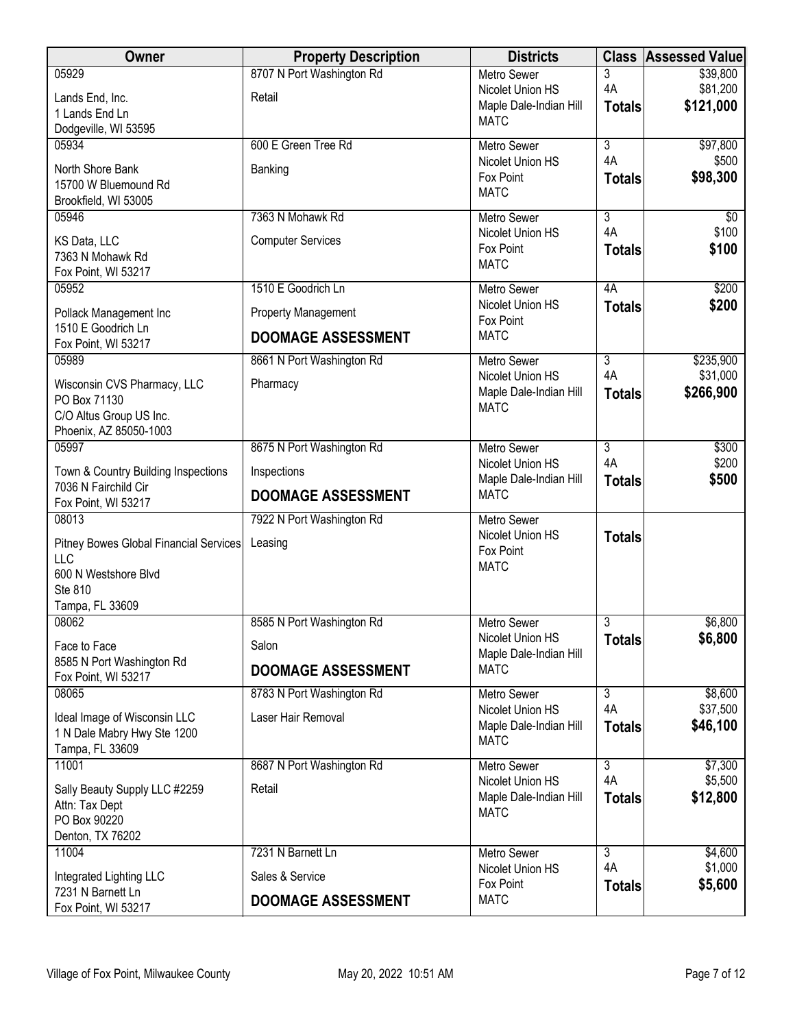| <b>Owner</b>                                  | <b>Property Description</b> | <b>Districts</b>                           |                           | <b>Class Assessed Value</b> |
|-----------------------------------------------|-----------------------------|--------------------------------------------|---------------------------|-----------------------------|
| 05929                                         | 8707 N Port Washington Rd   | <b>Metro Sewer</b>                         | 3                         | \$39,800                    |
| Lands End, Inc.                               | Retail                      | Nicolet Union HS                           | 4A                        | \$81,200                    |
| 1 Lands End Ln                                |                             | Maple Dale-Indian Hill                     | <b>Totals</b>             | \$121,000                   |
| Dodgeville, WI 53595                          |                             | <b>MATC</b>                                |                           |                             |
| 05934                                         | 600 E Green Tree Rd         | <b>Metro Sewer</b>                         | $\overline{\overline{3}}$ | \$97,800                    |
| North Shore Bank                              | Banking                     | Nicolet Union HS                           | 4A                        | \$500                       |
| 15700 W Bluemound Rd                          |                             | Fox Point                                  | <b>Totals</b>             | \$98,300                    |
| Brookfield, WI 53005                          |                             | <b>MATC</b>                                |                           |                             |
| 05946                                         | 7363 N Mohawk Rd            | <b>Metro Sewer</b>                         | $\overline{3}$            | $\sqrt[6]{}$                |
| KS Data, LLC                                  | <b>Computer Services</b>    | Nicolet Union HS                           | 4A                        | \$100                       |
| 7363 N Mohawk Rd                              |                             | Fox Point                                  | <b>Totals</b>             | \$100                       |
| Fox Point, WI 53217                           |                             | <b>MATC</b>                                |                           |                             |
| 05952                                         | 1510 E Goodrich Ln          | Metro Sewer                                | 4A                        | \$200                       |
| Pollack Management Inc                        | Property Management         | Nicolet Union HS<br>Fox Point              | <b>Totals</b>             | \$200                       |
| 1510 E Goodrich Ln<br>Fox Point, WI 53217     | <b>DOOMAGE ASSESSMENT</b>   | <b>MATC</b>                                |                           |                             |
| 05989                                         | 8661 N Port Washington Rd   | <b>Metro Sewer</b>                         | $\overline{3}$            | \$235,900                   |
| Wisconsin CVS Pharmacy, LLC                   | Pharmacy                    | Nicolet Union HS                           | 4A                        | \$31,000                    |
| PO Box 71130                                  |                             | Maple Dale-Indian Hill                     | <b>Totals</b>             | \$266,900                   |
| C/O Altus Group US Inc.                       |                             | <b>MATC</b>                                |                           |                             |
| Phoenix, AZ 85050-1003                        |                             |                                            |                           |                             |
| 05997                                         | 8675 N Port Washington Rd   | <b>Metro Sewer</b>                         | $\overline{3}$            | \$300                       |
| Town & Country Building Inspections           | Inspections                 | Nicolet Union HS                           | 4A                        | \$200                       |
| 7036 N Fairchild Cir                          |                             | Maple Dale-Indian Hill                     | <b>Totals</b>             | \$500                       |
| Fox Point, WI 53217                           | <b>DOOMAGE ASSESSMENT</b>   | <b>MATC</b>                                |                           |                             |
| 08013                                         | 7922 N Port Washington Rd   | <b>Metro Sewer</b>                         |                           |                             |
| <b>Pitney Bowes Global Financial Services</b> | Leasing                     | Nicolet Union HS                           | <b>Totals</b>             |                             |
| <b>LLC</b>                                    |                             | Fox Point<br><b>MATC</b>                   |                           |                             |
| 600 N Westshore Blvd                          |                             |                                            |                           |                             |
| Ste 810                                       |                             |                                            |                           |                             |
| Tampa, FL 33609                               |                             |                                            |                           |                             |
| 08062                                         | 8585 N Port Washington Rd   | <b>Metro Sewer</b>                         | 3                         | \$6,800                     |
| Face to Face                                  | Salon                       | Nicolet Union HS<br>Maple Dale-Indian Hill | <b>Totals</b>             | \$6,800                     |
| 8585 N Port Washington Rd                     | <b>DOOMAGE ASSESSMENT</b>   | <b>MATC</b>                                |                           |                             |
| Fox Point, WI 53217                           |                             |                                            |                           |                             |
| 08065                                         | 8783 N Port Washington Rd   | <b>Metro Sewer</b>                         | $\overline{3}$            | \$8,600                     |
| Ideal Image of Wisconsin LLC                  | Laser Hair Removal          | Nicolet Union HS                           | 4A                        | \$37,500<br>\$46,100        |
| 1 N Dale Mabry Hwy Ste 1200                   |                             | Maple Dale-Indian Hill<br><b>MATC</b>      | <b>Totals</b>             |                             |
| Tampa, FL 33609                               |                             |                                            |                           |                             |
| 11001                                         | 8687 N Port Washington Rd   | Metro Sewer                                | $\overline{3}$            | \$7,300                     |
| Sally Beauty Supply LLC #2259                 | Retail                      | Nicolet Union HS                           | 4A                        | \$5,500                     |
| Attn: Tax Dept                                |                             | Maple Dale-Indian Hill<br><b>MATC</b>      | <b>Totals</b>             | \$12,800                    |
| PO Box 90220                                  |                             |                                            |                           |                             |
| Denton, TX 76202                              |                             |                                            |                           |                             |
| 11004                                         | 7231 N Barnett Ln           | <b>Metro Sewer</b>                         | $\overline{3}$<br>4A      | \$4,600                     |
| Integrated Lighting LLC<br>7231 N Barnett Ln  | Sales & Service             | Nicolet Union HS<br>Fox Point              | <b>Totals</b>             | \$1,000<br>\$5,600          |
| Fox Point, WI 53217                           | <b>DOOMAGE ASSESSMENT</b>   | <b>MATC</b>                                |                           |                             |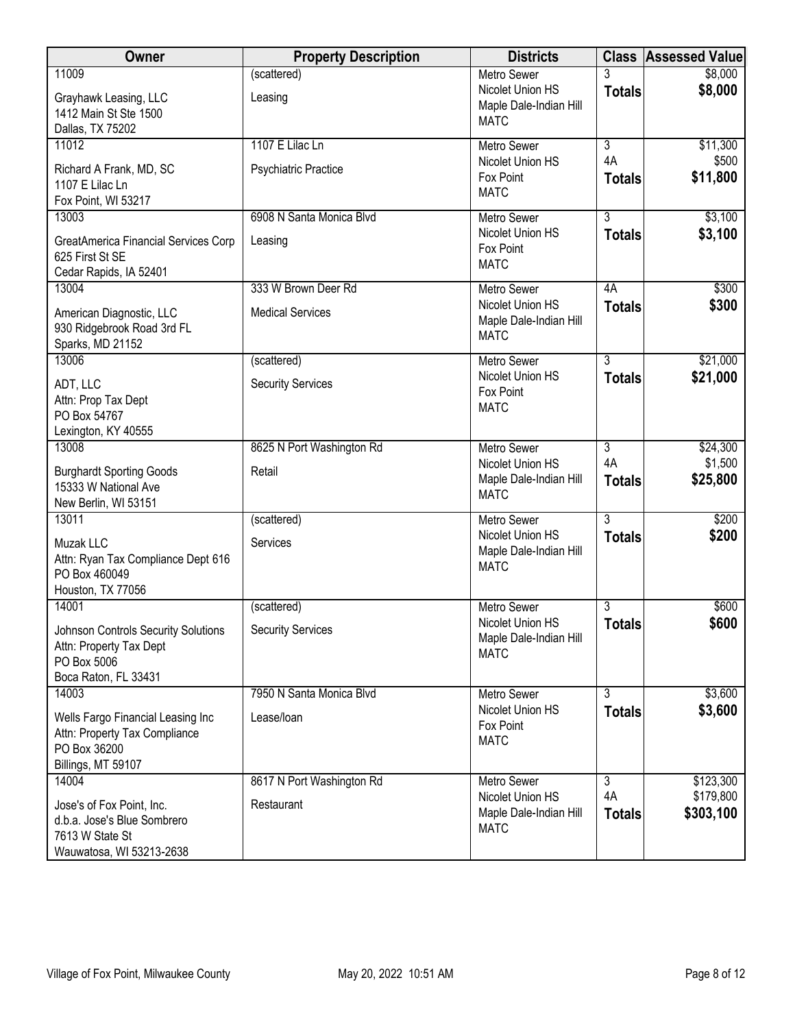| Owner                                                   | <b>Property Description</b> | <b>Districts</b>                           |                    | <b>Class Assessed Value</b> |
|---------------------------------------------------------|-----------------------------|--------------------------------------------|--------------------|-----------------------------|
| 11009                                                   | (scattered)                 | <b>Metro Sewer</b>                         |                    | \$8,000                     |
| Grayhawk Leasing, LLC                                   | Leasing                     | Nicolet Union HS<br>Maple Dale-Indian Hill | <b>Totals</b>      | \$8,000                     |
| 1412 Main St Ste 1500<br>Dallas, TX 75202               |                             | <b>MATC</b>                                |                    |                             |
| 11012                                                   | 1107 E Lilac Ln             | Metro Sewer                                | $\overline{3}$     | \$11,300                    |
| Richard A Frank, MD, SC                                 | <b>Psychiatric Practice</b> | Nicolet Union HS                           | 4A                 | \$500                       |
| 1107 E Lilac Ln                                         |                             | Fox Point<br><b>MATC</b>                   | <b>Totals</b>      | \$11,800                    |
| Fox Point, WI 53217                                     |                             |                                            |                    |                             |
| 13003                                                   | 6908 N Santa Monica Blyd    | <b>Metro Sewer</b><br>Nicolet Union HS     | 3<br><b>Totals</b> | \$3,100<br>\$3,100          |
| GreatAmerica Financial Services Corp<br>625 First St SE | Leasing                     | Fox Point                                  |                    |                             |
| Cedar Rapids, IA 52401                                  |                             | <b>MATC</b>                                |                    |                             |
| 13004                                                   | 333 W Brown Deer Rd         | Metro Sewer                                | 4A                 | \$300                       |
| American Diagnostic, LLC                                | <b>Medical Services</b>     | Nicolet Union HS<br>Maple Dale-Indian Hill | <b>Totals</b>      | \$300                       |
| 930 Ridgebrook Road 3rd FL                              |                             | <b>MATC</b>                                |                    |                             |
| Sparks, MD 21152<br>13006                               | (scattered)                 | Metro Sewer                                | $\overline{3}$     | \$21,000                    |
| ADT, LLC                                                | <b>Security Services</b>    | Nicolet Union HS                           | <b>Totals</b>      | \$21,000                    |
| Attn: Prop Tax Dept                                     |                             | Fox Point                                  |                    |                             |
| PO Box 54767                                            |                             | <b>MATC</b>                                |                    |                             |
| Lexington, KY 40555<br>13008                            | 8625 N Port Washington Rd   | <b>Metro Sewer</b>                         | 3                  | \$24,300                    |
|                                                         | Retail                      | Nicolet Union HS                           | 4A                 | \$1,500                     |
| <b>Burghardt Sporting Goods</b><br>15333 W National Ave |                             | Maple Dale-Indian Hill                     | <b>Totals</b>      | \$25,800                    |
| New Berlin, WI 53151                                    |                             | <b>MATC</b>                                |                    |                             |
| 13011                                                   | (scattered)                 | <b>Metro Sewer</b>                         | $\overline{3}$     | \$200                       |
| Muzak LLC                                               | Services                    | Nicolet Union HS<br>Maple Dale-Indian Hill | <b>Totals</b>      | \$200                       |
| Attn: Ryan Tax Compliance Dept 616<br>PO Box 460049     |                             | <b>MATC</b>                                |                    |                             |
| Houston, TX 77056                                       |                             |                                            |                    |                             |
| 14001                                                   | (scattered)                 | <b>Metro Sewer</b>                         | 3                  | \$600                       |
| <b>Johnson Controls Security Solutions</b>              | <b>Security Services</b>    | Nicolet Union HS<br>Maple Dale-Indian Hill | <b>Totals</b>      | \$600                       |
| Attn: Property Tax Dept<br>PO Box 5006                  |                             | <b>MATC</b>                                |                    |                             |
| Boca Raton, FL 33431                                    |                             |                                            |                    |                             |
| 14003                                                   | 7950 N Santa Monica Blvd    | Metro Sewer                                | 3                  | \$3,600                     |
| Wells Fargo Financial Leasing Inc                       | Lease/loan                  | Nicolet Union HS<br>Fox Point              | <b>Totals</b>      | \$3,600                     |
| Attn: Property Tax Compliance<br>PO Box 36200           |                             | <b>MATC</b>                                |                    |                             |
| Billings, MT 59107                                      |                             |                                            |                    |                             |
| 14004                                                   | 8617 N Port Washington Rd   | Metro Sewer                                | $\overline{3}$     | \$123,300                   |
| Jose's of Fox Point, Inc.                               | Restaurant                  | Nicolet Union HS                           | 4A                 | \$179,800                   |
| d.b.a. Jose's Blue Sombrero                             |                             | Maple Dale-Indian Hill<br><b>MATC</b>      | <b>Totals</b>      | \$303,100                   |
| 7613 W State St<br>Wauwatosa, WI 53213-2638             |                             |                                            |                    |                             |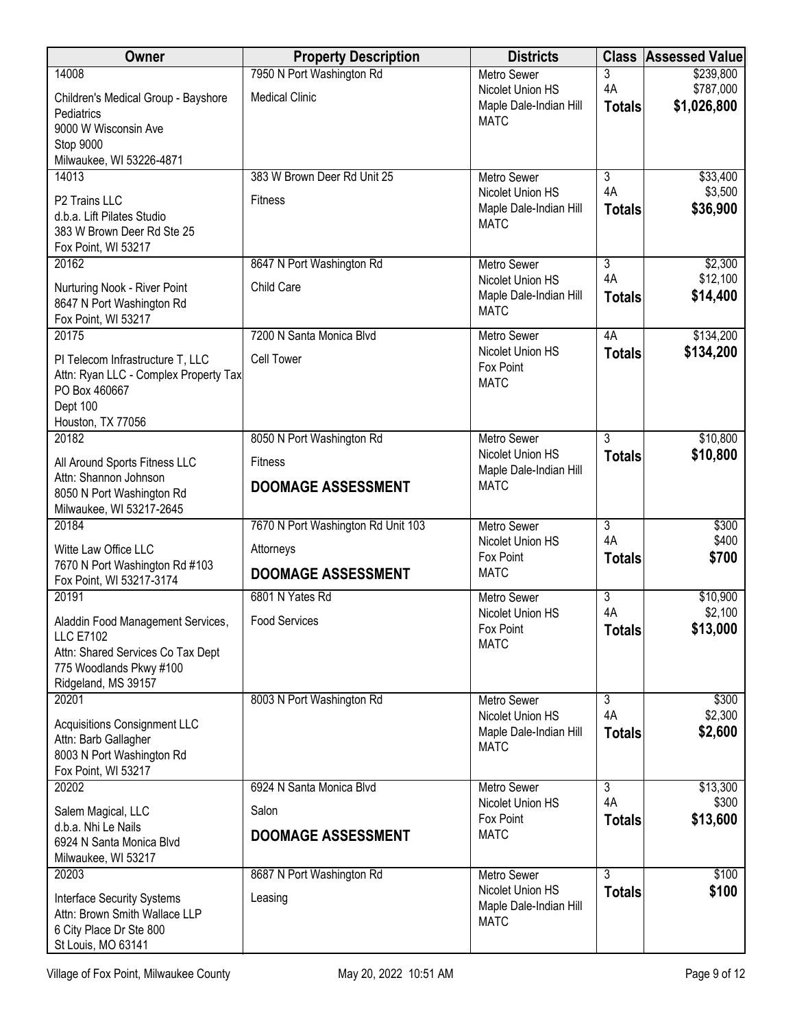| <b>Owner</b>                                                       | <b>Property Description</b>        | <b>Districts</b>                           | <b>Class</b>         | <b>Assessed Value</b>    |
|--------------------------------------------------------------------|------------------------------------|--------------------------------------------|----------------------|--------------------------|
| 14008                                                              | 7950 N Port Washington Rd          | <b>Metro Sewer</b>                         | 3                    | \$239,800                |
| Children's Medical Group - Bayshore                                | <b>Medical Clinic</b>              | Nicolet Union HS<br>Maple Dale-Indian Hill | 4A                   | \$787,000<br>\$1,026,800 |
| Pediatrics                                                         |                                    | <b>MATC</b>                                | <b>Totals</b>        |                          |
| 9000 W Wisconsin Ave<br>Stop 9000                                  |                                    |                                            |                      |                          |
| Milwaukee, WI 53226-4871                                           |                                    |                                            |                      |                          |
| 14013                                                              | 383 W Brown Deer Rd Unit 25        | <b>Metro Sewer</b>                         | $\overline{3}$       | \$33,400                 |
| P2 Trains LLC                                                      | <b>Fitness</b>                     | Nicolet Union HS                           | 4A                   | \$3,500                  |
| d.b.a. Lift Pilates Studio                                         |                                    | Maple Dale-Indian Hill<br><b>MATC</b>      | <b>Totals</b>        | \$36,900                 |
| 383 W Brown Deer Rd Ste 25                                         |                                    |                                            |                      |                          |
| Fox Point, WI 53217<br>20162                                       | 8647 N Port Washington Rd          | <b>Metro Sewer</b>                         | $\overline{3}$       | \$2,300                  |
|                                                                    |                                    | Nicolet Union HS                           | 4A                   | \$12,100                 |
| Nurturing Nook - River Point                                       | Child Care                         | Maple Dale-Indian Hill                     | <b>Totals</b>        | \$14,400                 |
| 8647 N Port Washington Rd<br>Fox Point, WI 53217                   |                                    | <b>MATC</b>                                |                      |                          |
| 20175                                                              | 7200 N Santa Monica Blvd           | Metro Sewer                                | 4A                   | \$134,200                |
| PI Telecom Infrastructure T, LLC                                   | <b>Cell Tower</b>                  | Nicolet Union HS                           | <b>Totals</b>        | \$134,200                |
| Attn: Ryan LLC - Complex Property Tax                              |                                    | Fox Point                                  |                      |                          |
| PO Box 460667                                                      |                                    | <b>MATC</b>                                |                      |                          |
| Dept 100                                                           |                                    |                                            |                      |                          |
| Houston, TX 77056<br>20182                                         | 8050 N Port Washington Rd          | <b>Metro Sewer</b>                         | $\overline{3}$       | \$10,800                 |
|                                                                    |                                    | Nicolet Union HS                           | <b>Totals</b>        | \$10,800                 |
| All Around Sports Fitness LLC<br>Attn: Shannon Johnson             | <b>Fitness</b>                     | Maple Dale-Indian Hill                     |                      |                          |
| 8050 N Port Washington Rd                                          | <b>DOOMAGE ASSESSMENT</b>          | <b>MATC</b>                                |                      |                          |
| Milwaukee, WI 53217-2645                                           |                                    |                                            |                      |                          |
| 20184                                                              | 7670 N Port Washington Rd Unit 103 | <b>Metro Sewer</b>                         | $\overline{3}$       | \$300                    |
| Witte Law Office LLC                                               | Attorneys                          | Nicolet Union HS<br>Fox Point              | 4A<br><b>Totals</b>  | \$400<br>\$700           |
| 7670 N Port Washington Rd #103                                     | <b>DOOMAGE ASSESSMENT</b>          | <b>MATC</b>                                |                      |                          |
| Fox Point, WI 53217-3174<br>20191                                  | 6801 N Yates Rd                    | <b>Metro Sewer</b>                         | $\overline{3}$       | \$10,900                 |
|                                                                    |                                    | Nicolet Union HS                           | 4A                   | \$2,100                  |
| Aladdin Food Management Services,<br><b>LLC E7102</b>              | <b>Food Services</b>               | Fox Point                                  | <b>Totals</b>        | \$13,000                 |
| Attn: Shared Services Co Tax Dept                                  |                                    | <b>MATC</b>                                |                      |                          |
| 775 Woodlands Pkwy #100                                            |                                    |                                            |                      |                          |
| Ridgeland, MS 39157                                                |                                    |                                            |                      |                          |
| 20201                                                              | 8003 N Port Washington Rd          | <b>Metro Sewer</b><br>Nicolet Union HS     | $\overline{3}$<br>4A | \$300<br>\$2,300         |
| <b>Acquisitions Consignment LLC</b>                                |                                    | Maple Dale-Indian Hill                     | <b>Totals</b>        | \$2,600                  |
| Attn: Barb Gallagher<br>8003 N Port Washington Rd                  |                                    | <b>MATC</b>                                |                      |                          |
| Fox Point, WI 53217                                                |                                    |                                            |                      |                          |
| 20202                                                              | 6924 N Santa Monica Blvd           | Metro Sewer                                | $\overline{3}$       | \$13,300                 |
| Salem Magical, LLC                                                 | Salon                              | Nicolet Union HS                           | 4A                   | \$300                    |
| d.b.a. Nhi Le Nails                                                | <b>DOOMAGE ASSESSMENT</b>          | Fox Point<br><b>MATC</b>                   | <b>Totals</b>        | \$13,600                 |
| 6924 N Santa Monica Blvd                                           |                                    |                                            |                      |                          |
| Milwaukee, WI 53217<br>20203                                       |                                    |                                            | $\overline{3}$       | \$100                    |
|                                                                    | 8687 N Port Washington Rd          | Metro Sewer<br>Nicolet Union HS            | <b>Totals</b>        | \$100                    |
| <b>Interface Security Systems</b><br>Attn: Brown Smith Wallace LLP | Leasing                            | Maple Dale-Indian Hill                     |                      |                          |
| 6 City Place Dr Ste 800                                            |                                    | <b>MATC</b>                                |                      |                          |
| St Louis, MO 63141                                                 |                                    |                                            |                      |                          |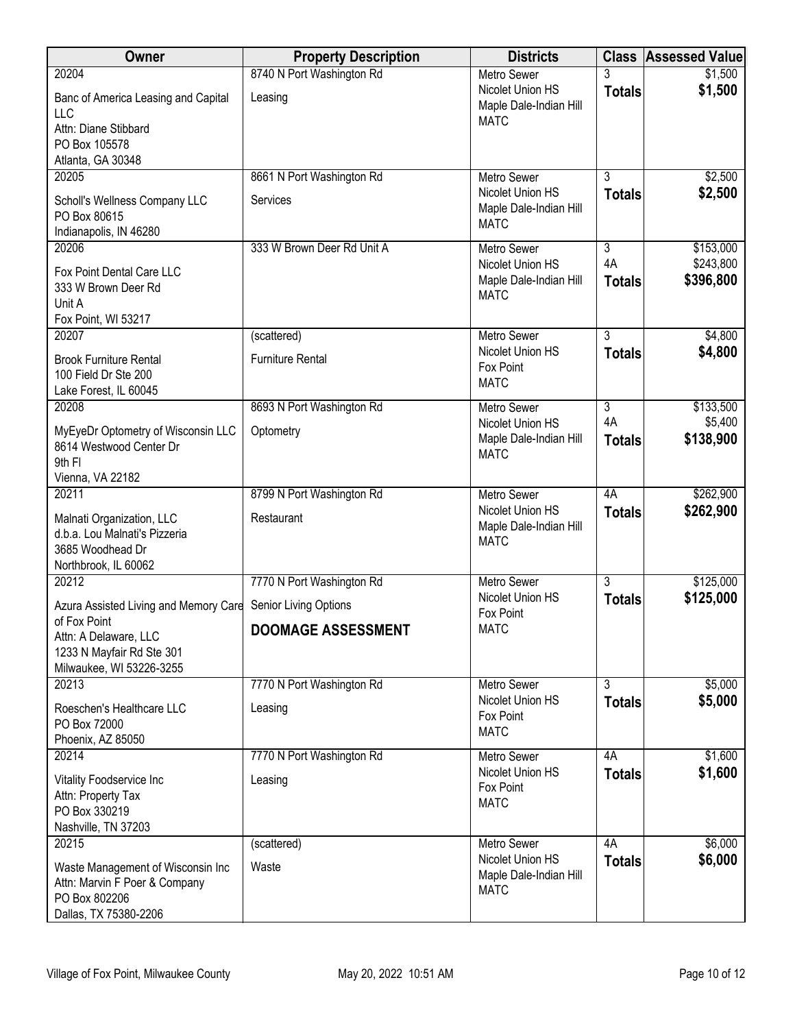| Owner                                                                                                        | <b>Property Description</b> | <b>Districts</b>                                          |                     | <b>Class Assessed Value</b> |
|--------------------------------------------------------------------------------------------------------------|-----------------------------|-----------------------------------------------------------|---------------------|-----------------------------|
| 20204                                                                                                        | 8740 N Port Washington Rd   | <b>Metro Sewer</b>                                        | 3                   | \$1,500                     |
| Banc of America Leasing and Capital<br>LLC                                                                   | Leasing                     | Nicolet Union HS<br>Maple Dale-Indian Hill<br><b>MATC</b> | <b>Totals</b>       | \$1,500                     |
| Attn: Diane Stibbard<br>PO Box 105578<br>Atlanta, GA 30348                                                   |                             |                                                           |                     |                             |
| 20205                                                                                                        | 8661 N Port Washington Rd   | <b>Metro Sewer</b>                                        | $\overline{3}$      | \$2,500                     |
| Scholl's Wellness Company LLC<br>PO Box 80615<br>Indianapolis, IN 46280                                      | Services                    | Nicolet Union HS<br>Maple Dale-Indian Hill<br><b>MATC</b> | <b>Totals</b>       | \$2,500                     |
| 20206                                                                                                        | 333 W Brown Deer Rd Unit A  | <b>Metro Sewer</b>                                        | $\overline{3}$      | \$153,000                   |
| Fox Point Dental Care LLC<br>333 W Brown Deer Rd<br>Unit A<br>Fox Point, WI 53217                            |                             | Nicolet Union HS<br>Maple Dale-Indian Hill<br><b>MATC</b> | 4A<br><b>Totals</b> | \$243,800<br>\$396,800      |
| 20207                                                                                                        | (scattered)                 | Metro Sewer                                               | $\overline{3}$      | \$4,800                     |
| <b>Brook Furniture Rental</b><br>100 Field Dr Ste 200<br>Lake Forest, IL 60045                               | <b>Furniture Rental</b>     | Nicolet Union HS<br>Fox Point<br><b>MATC</b>              | <b>Totals</b>       | \$4,800                     |
| 20208                                                                                                        | 8693 N Port Washington Rd   | <b>Metro Sewer</b>                                        | 3                   | \$133,500                   |
| MyEyeDr Optometry of Wisconsin LLC<br>8614 Westwood Center Dr<br>9th FI                                      | Optometry                   | Nicolet Union HS<br>Maple Dale-Indian Hill<br><b>MATC</b> | 4A<br><b>Totals</b> | \$5,400<br>\$138,900        |
| Vienna, VA 22182                                                                                             |                             |                                                           |                     |                             |
| 20211                                                                                                        | 8799 N Port Washington Rd   | Metro Sewer                                               | 4A                  | \$262,900                   |
| Malnati Organization, LLC<br>d.b.a. Lou Malnati's Pizzeria<br>3685 Woodhead Dr<br>Northbrook, IL 60062       | Restaurant                  | Nicolet Union HS<br>Maple Dale-Indian Hill<br><b>MATC</b> | <b>Totals</b>       | \$262,900                   |
| 20212                                                                                                        | 7770 N Port Washington Rd   | <b>Metro Sewer</b>                                        | $\overline{3}$      | \$125,000                   |
| Azura Assisted Living and Memory Care Senior Living Options                                                  |                             | Nicolet Union HS<br>Fox Point                             | <b>Totals</b>       | \$125,000                   |
| of Fox Point<br>Attn: A Delaware, LLC<br>1233 N Mayfair Rd Ste 301<br>Milwaukee, WI 53226-3255               | DOOMAGE ASSESSMENT          | <b>MATC</b>                                               |                     |                             |
| 20213                                                                                                        | 7770 N Port Washington Rd   | Metro Sewer                                               | $\overline{3}$      | \$5,000                     |
| Roeschen's Healthcare LLC<br>PO Box 72000<br>Phoenix, AZ 85050                                               | Leasing                     | Nicolet Union HS<br>Fox Point<br><b>MATC</b>              | <b>Totals</b>       | \$5,000                     |
| 20214                                                                                                        | 7770 N Port Washington Rd   | Metro Sewer                                               | 4A                  | \$1,600                     |
| Vitality Foodservice Inc<br>Attn: Property Tax<br>PO Box 330219<br>Nashville, TN 37203                       | Leasing                     | Nicolet Union HS<br>Fox Point<br><b>MATC</b>              | <b>Totals</b>       | \$1,600                     |
| 20215                                                                                                        | (scattered)                 | Metro Sewer                                               | 4A                  | \$6,000                     |
| Waste Management of Wisconsin Inc<br>Attn: Marvin F Poer & Company<br>PO Box 802206<br>Dallas, TX 75380-2206 | Waste                       | Nicolet Union HS<br>Maple Dale-Indian Hill<br><b>MATC</b> | <b>Totals</b>       | \$6,000                     |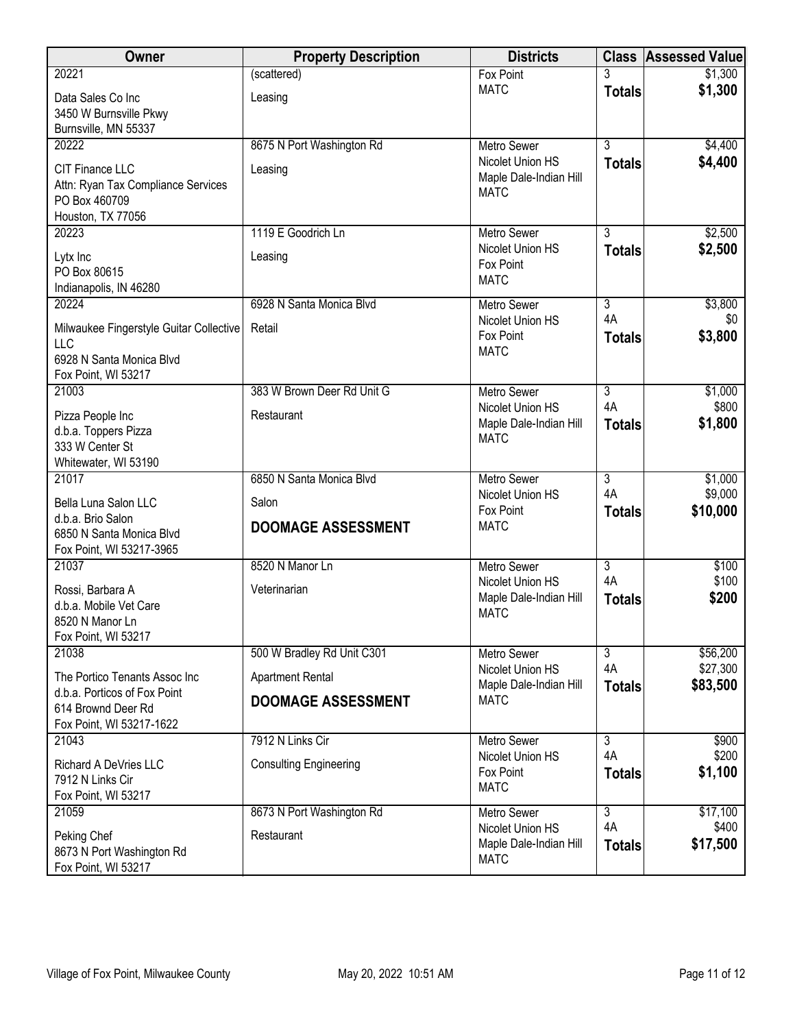| Owner                                                         | <b>Property Description</b>   | <b>Districts</b>                       | <b>Class</b>         | <b>Assessed Value</b> |
|---------------------------------------------------------------|-------------------------------|----------------------------------------|----------------------|-----------------------|
| 20221                                                         | (scattered)                   | Fox Point                              |                      | \$1,300               |
| Data Sales Co Inc                                             | Leasing                       | <b>MATC</b>                            | <b>Totals</b>        | \$1,300               |
| 3450 W Burnsville Pkwy<br>Burnsville, MN 55337                |                               |                                        |                      |                       |
| 20222                                                         | 8675 N Port Washington Rd     | <b>Metro Sewer</b>                     | $\overline{3}$       | \$4,400               |
| CIT Finance LLC                                               | Leasing                       | Nicolet Union HS                       | <b>Totals</b>        | \$4,400               |
| Attn: Ryan Tax Compliance Services                            |                               | Maple Dale-Indian Hill<br><b>MATC</b>  |                      |                       |
| PO Box 460709                                                 |                               |                                        |                      |                       |
| Houston, TX 77056<br>20223                                    | 1119 E Goodrich Ln            | Metro Sewer                            | 3                    | \$2,500               |
|                                                               |                               | Nicolet Union HS                       | <b>Totals</b>        | \$2,500               |
| Lytx Inc<br>PO Box 80615                                      | Leasing                       | Fox Point                              |                      |                       |
| Indianapolis, IN 46280                                        |                               | <b>MATC</b>                            |                      |                       |
| 20224                                                         | 6928 N Santa Monica Blvd      | Metro Sewer                            | $\overline{3}$       | \$3,800               |
| Milwaukee Fingerstyle Guitar Collective                       | Retail                        | Nicolet Union HS<br>Fox Point          | 4A<br><b>Totals</b>  | \$0<br>\$3,800        |
| <b>LLC</b>                                                    |                               | <b>MATC</b>                            |                      |                       |
| 6928 N Santa Monica Blvd<br>Fox Point, WI 53217               |                               |                                        |                      |                       |
| 21003                                                         | 383 W Brown Deer Rd Unit G    | <b>Metro Sewer</b>                     | $\overline{3}$       | \$1,000               |
| Pizza People Inc                                              | Restaurant                    | Nicolet Union HS                       | 4A                   | \$800                 |
| d.b.a. Toppers Pizza                                          |                               | Maple Dale-Indian Hill<br><b>MATC</b>  | <b>Totals</b>        | \$1,800               |
| 333 W Center St                                               |                               |                                        |                      |                       |
| Whitewater, WI 53190<br>21017                                 | 6850 N Santa Monica Blvd      | <b>Metro Sewer</b>                     | $\overline{3}$       | \$1,000               |
| Bella Luna Salon LLC                                          | Salon                         | Nicolet Union HS                       | 4A                   | \$9,000               |
| d.b.a. Brio Salon                                             |                               | Fox Point<br><b>MATC</b>               | <b>Totals</b>        | \$10,000              |
| 6850 N Santa Monica Blvd                                      | <b>DOOMAGE ASSESSMENT</b>     |                                        |                      |                       |
| Fox Point, WI 53217-3965<br>21037                             | 8520 N Manor Ln               | <b>Metro Sewer</b>                     | $\overline{3}$       | \$100                 |
|                                                               |                               | Nicolet Union HS                       | 4A                   | \$100                 |
| Rossi, Barbara A<br>d.b.a. Mobile Vet Care                    | Veterinarian                  | Maple Dale-Indian Hill                 | <b>Totals</b>        | \$200                 |
| 8520 N Manor Ln                                               |                               | <b>MATC</b>                            |                      |                       |
| Fox Point, WI 53217                                           |                               |                                        |                      |                       |
| 21038                                                         | 500 W Bradley Rd Unit C301    | <b>Metro Sewer</b><br>Nicolet Union HS | $\overline{3}$<br>4A | \$56,200<br>\$27,300  |
| The Portico Tenants Assoc Inc<br>d.b.a. Porticos of Fox Point | <b>Apartment Rental</b>       | Maple Dale-Indian Hill                 | <b>Totals</b>        | \$83,500              |
| 614 Brownd Deer Rd                                            | <b>DOOMAGE ASSESSMENT</b>     | <b>MATC</b>                            |                      |                       |
| Fox Point, WI 53217-1622                                      |                               |                                        |                      |                       |
| 21043                                                         | 7912 N Links Cir              | Metro Sewer                            | 3<br>4A              | \$900<br>\$200        |
| Richard A DeVries LLC                                         | <b>Consulting Engineering</b> | Nicolet Union HS<br>Fox Point          | <b>Totals</b>        | \$1,100               |
| 7912 N Links Cir<br>Fox Point, WI 53217                       |                               | <b>MATC</b>                            |                      |                       |
| 21059                                                         | 8673 N Port Washington Rd     | <b>Metro Sewer</b>                     | $\overline{3}$       | \$17,100              |
| Peking Chef                                                   | Restaurant                    | Nicolet Union HS                       | 4A                   | \$400                 |
| 8673 N Port Washington Rd                                     |                               | Maple Dale-Indian Hill<br><b>MATC</b>  | <b>Totals</b>        | \$17,500              |
| Fox Point, WI 53217                                           |                               |                                        |                      |                       |